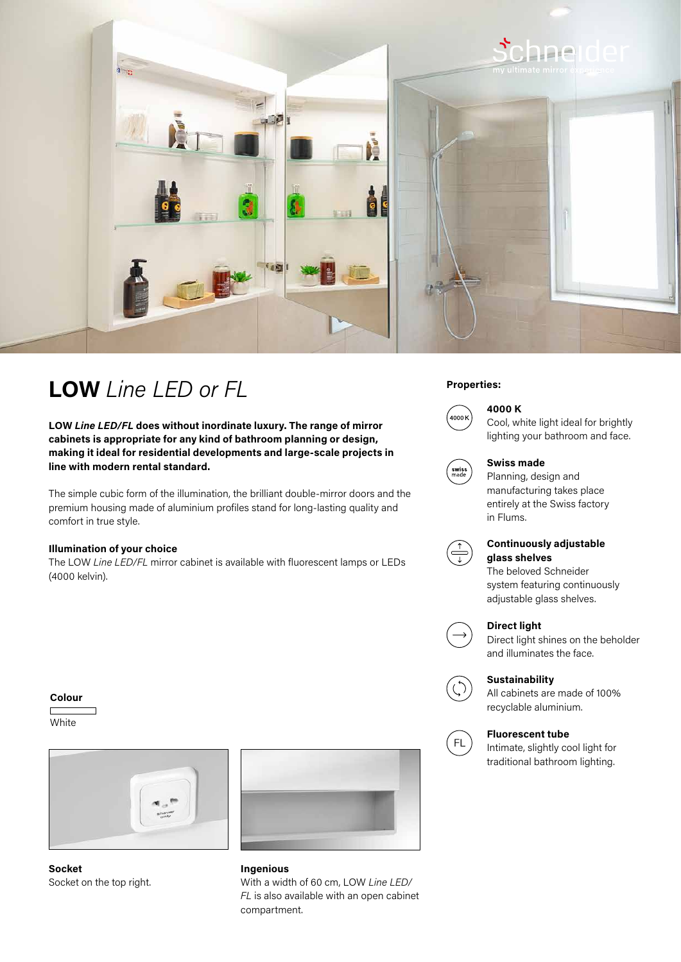

# **Properties: LOW** *Line LED or FL*

**LOW** *Line LED/FL* **does without inordinate luxury. The range of mirror cabinets is appropriate for any kind of bathroom planning or design, making it ideal for residential developments and large-scale projects in line with modern rental standard.**

The simple cubic form of the illumination, the brilliant double-mirror doors and the premium housing made of aluminium profiles stand for long-lasting quality and comfort in true style.

#### **Illumination of your choice**

The LOW *Line LED/FL* mirror cabinet is available with fluorescent lamps or LEDs (4000 kelvin).

#### **Colour**

**White** 



**Socket**  Socket on the top right.



**Ingenious**  With a width of 60 cm, LOW *Line LED/ FL* is also available with an open cabinet compartment.



## **4000 K**

Cool, white light ideal for brightly lighting your bathroom and face.



# **Swiss made**

Planning, design and manufacturing takes place entirely at the Swiss factory in Flums.



#### **Continuously adjustable glass shelves**

The beloved Schneider system featuring continuously adjustable glass shelves.



## **Direct light**

Direct light shines on the beholder and illuminates the face.



## **Sustainability**

All cabinets are made of 100% recyclable aluminium.



## **Fluorescent tube**

Intimate, slightly cool light for traditional bathroom lighting.